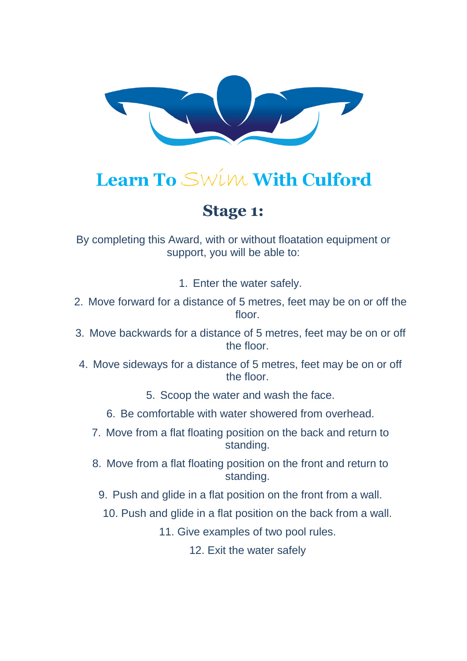

## **Stage 1:**

By completing this Award, with or without floatation equipment or support, you will be able to:

1. Enter the water safely.

- 2. Move forward for a distance of 5 metres, feet may be on or off the floor
- 3. Move backwards for a distance of 5 metres, feet may be on or off the floor.
- 4. Move sideways for a distance of 5 metres, feet may be on or off the floor.
	- 5. Scoop the water and wash the face.
	- 6. Be comfortable with water showered from overhead.
	- 7. Move from a flat floating position on the back and return to standing.
	- 8. Move from a flat floating position on the front and return to standing.
		- 9. Push and glide in a flat position on the front from a wall.
			- 10. Push and glide in a flat position on the back from a wall.
				- 11. Give examples of two pool rules.

12. Exit the water safely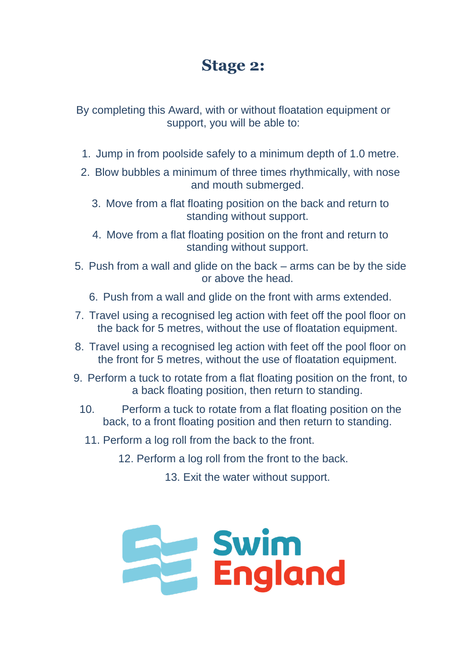### **Stage 2:**

By completing this Award, with or without floatation equipment or support, you will be able to:

- 1. Jump in from poolside safely to a minimum depth of 1.0 metre.
- 2. Blow bubbles a minimum of three times rhythmically, with nose and mouth submerged.
	- 3. Move from a flat floating position on the back and return to standing without support.
	- 4. Move from a flat floating position on the front and return to standing without support.
- 5. Push from a wall and glide on the back arms can be by the side or above the head.
	- 6. Push from a wall and glide on the front with arms extended.
- 7. Travel using a recognised leg action with feet off the pool floor on the back for 5 metres, without the use of floatation equipment.
- 8. Travel using a recognised leg action with feet off the pool floor on the front for 5 metres, without the use of floatation equipment.
- 9. Perform a tuck to rotate from a flat floating position on the front, to a back floating position, then return to standing.
	- 10. Perform a tuck to rotate from a flat floating position on the back, to a front floating position and then return to standing.
		- 11. Perform a log roll from the back to the front.

12. Perform a log roll from the front to the back.

13. Exit the water without support.

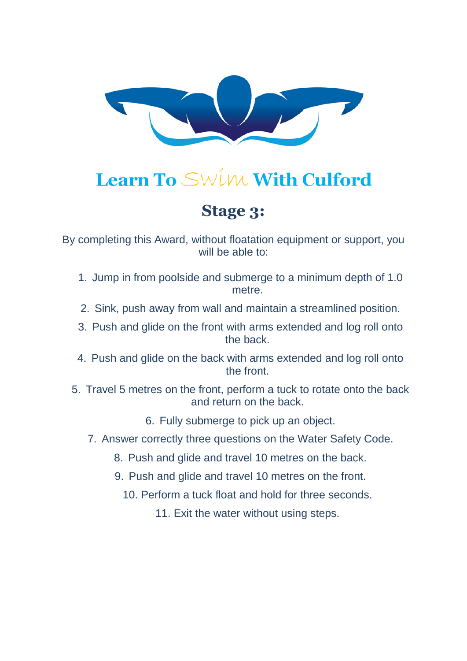

## **Stage 3:**

By completing this Award, without floatation equipment or support, you will be able to:

- 1. Jump in from poolside and submerge to a minimum depth of 1.0 metre.
- 2. Sink, push away from wall and maintain a streamlined position.
- 3. Push and glide on the front with arms extended and log roll onto the back.
- 4. Push and glide on the back with arms extended and log roll onto the front.
- 5. Travel 5 metres on the front, perform a tuck to rotate onto the back and return on the back.
	- 6. Fully submerge to pick up an object.
	- 7. Answer correctly three questions on the Water Safety Code.
		- 8. Push and glide and travel 10 metres on the back.
		- 9. Push and glide and travel 10 metres on the front.
			- 10. Perform a tuck float and hold for three seconds.
				- 11. Exit the water without using steps.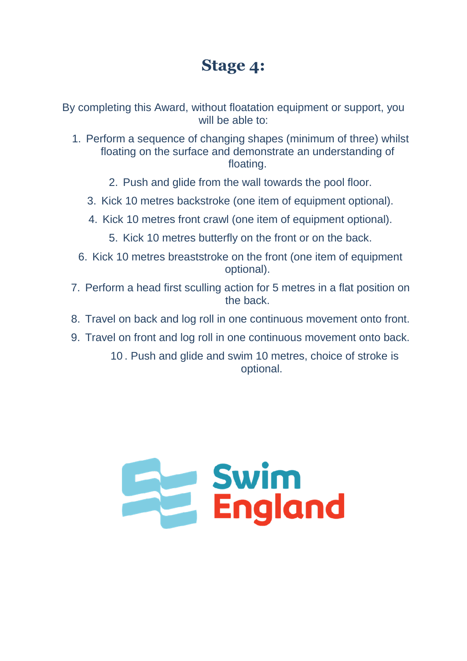## **Stage 4:**

By completing this Award, without floatation equipment or support, you will be able to:

- 1. Perform a sequence of changing shapes (minimum of three) whilst floating on the surface and demonstrate an understanding of floating.
	- 2. Push and glide from the wall towards the pool floor.
	- 3. Kick 10 metres backstroke (one item of equipment optional).
	- 4. Kick 10 metres front crawl (one item of equipment optional).
		- 5. Kick 10 metres butterfly on the front or on the back.
	- 6. Kick 10 metres breaststroke on the front (one item of equipment optional).
- 7. Perform a head first sculling action for 5 metres in a flat position on the back.
- 8. Travel on back and log roll in one continuous movement onto front.
- 9. Travel on front and log roll in one continuous movement onto back.

10 . Push and glide and swim 10 metres, choice of stroke is optional.

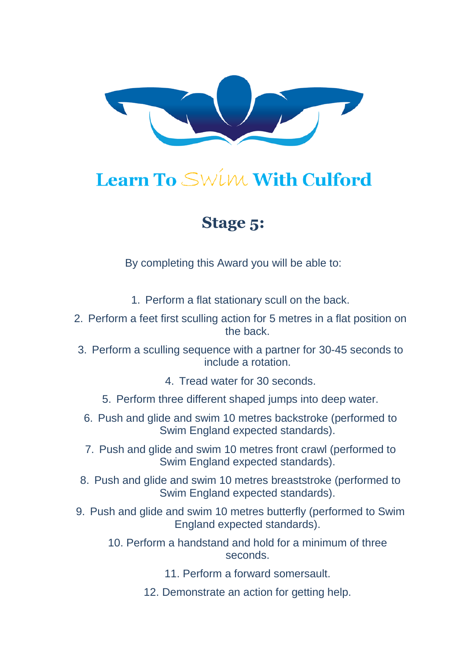

## **Stage 5:**

By completing this Award you will be able to:

- 1. Perform a flat stationary scull on the back.
- 2. Perform a feet first sculling action for 5 metres in a flat position on the back.
- 3. Perform a sculling sequence with a partner for 30-45 seconds to include a rotation.
	- 4. Tread water for 30 seconds.
	- 5. Perform three different shaped jumps into deep water.
	- 6. Push and glide and swim 10 metres backstroke (performed to Swim England expected standards).
	- 7. Push and glide and swim 10 metres front crawl (performed to Swim England expected standards).
- 8. Push and glide and swim 10 metres breaststroke (performed to Swim England expected standards).
- 9. Push and glide and swim 10 metres butterfly (performed to Swim England expected standards).
	- 10. Perform a handstand and hold for a minimum of three seconds.
		- 11. Perform a forward somersault.
		- 12. Demonstrate an action for getting help.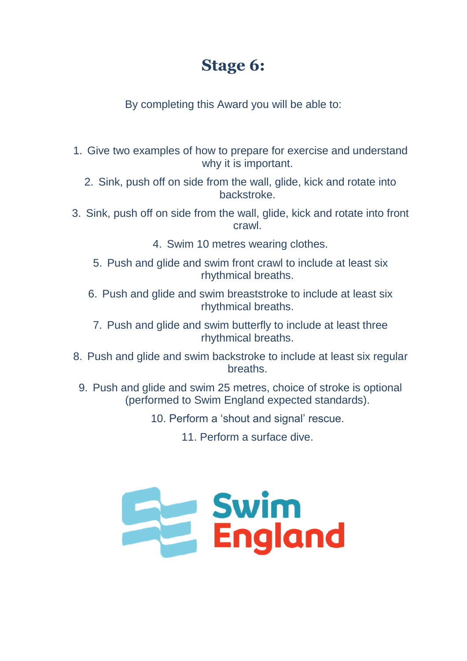## **Stage 6:**

By completing this Award you will be able to:

- 1. Give two examples of how to prepare for exercise and understand why it is important.
	- 2. Sink, push off on side from the wall, glide, kick and rotate into backstroke.
- 3. Sink, push off on side from the wall, glide, kick and rotate into front crawl.
	- 4. Swim 10 metres wearing clothes.
	- 5. Push and glide and swim front crawl to include at least six rhythmical breaths.
	- 6. Push and glide and swim breaststroke to include at least six rhythmical breaths.
		- 7. Push and glide and swim butterfly to include at least three rhythmical breaths.
- 8. Push and glide and swim backstroke to include at least six regular breaths.
- 9. Push and glide and swim 25 metres, choice of stroke is optional (performed to Swim England expected standards).
	- 10. Perform a 'shout and signal' rescue.

11. Perform a surface dive.

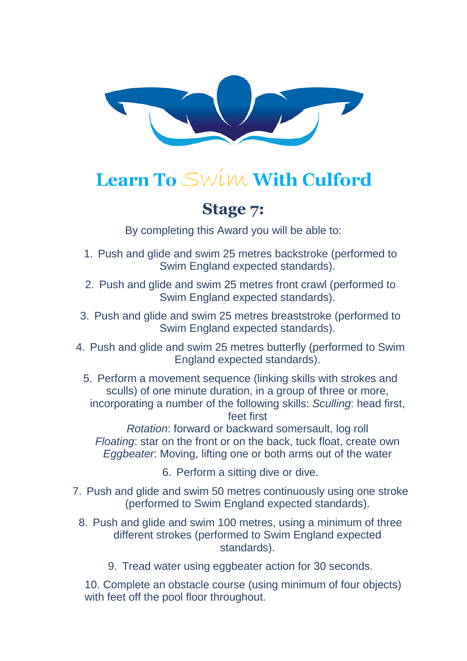

### **Stage 7:**

By completing this Award you will be able to:

- 1. Push and glide and swim 25 metres backstroke (performed to Swim England expected standards).
- 2. Push and glide and swim 25 metres front crawl (performed to Swim England expected standards).
- 3. Push and glide and swim 25 metres breaststroke (performed to Swim England expected standards).
- 4. Push and glide and swim 25 metres butterfly (performed to Swim England expected standards).
	- 5. Perform a movement sequence (linking skills with strokes and sculls) of one minute duration, in a group of three or more, incorporating a number of the following skills: *Sculling*: head first, feet first

*Rotation*: forward or backward somersault, log roll *Floating*: star on the front or on the back, tuck float, create own *Eggbeater*: Moving, lifting one or both arms out of the water

6. Perform a sitting dive or dive.

- 7. Push and glide and swim 50 metres continuously using one stroke (performed to Swim England expected standards).
	- 8. Push and glide and swim 100 metres, using a minimum of three different strokes (performed to Swim England expected standards).
		- 9. Tread water using eggbeater action for 30 seconds.

10. Complete an obstacle course (using minimum of four objects) with feet off the pool floor throughout.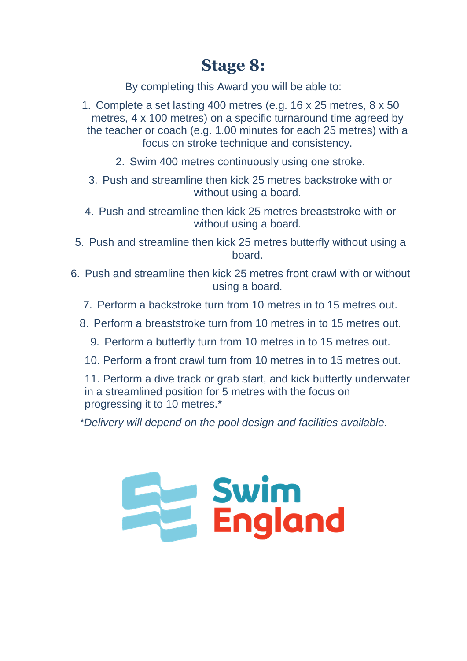## **Stage 8:**

By completing this Award you will be able to:

- 1. Complete a set lasting 400 metres (e.g. 16 x 25 metres, 8 x 50 metres, 4 x 100 metres) on a specific turnaround time agreed by the teacher or coach (e.g. 1.00 minutes for each 25 metres) with a focus on stroke technique and consistency.
	- 2. Swim 400 metres continuously using one stroke.
	- 3. Push and streamline then kick 25 metres backstroke with or without using a board.
- 4. Push and streamline then kick 25 metres breaststroke with or without using a board.
- 5. Push and streamline then kick 25 metres butterfly without using a board.
- 6. Push and streamline then kick 25 metres front crawl with or without using a board.
	- 7. Perform a backstroke turn from 10 metres in to 15 metres out.
	- 8. Perform a breaststroke turn from 10 metres in to 15 metres out.
		- 9. Perform a butterfly turn from 10 metres in to 15 metres out.
		- 10. Perform a front crawl turn from 10 metres in to 15 metres out.

11. Perform a dive track or grab start, and kick butterfly underwater in a streamlined position for 5 metres with the focus on progressing it to 10 metres.\*

*\*Delivery will depend on the pool design and facilities available.*

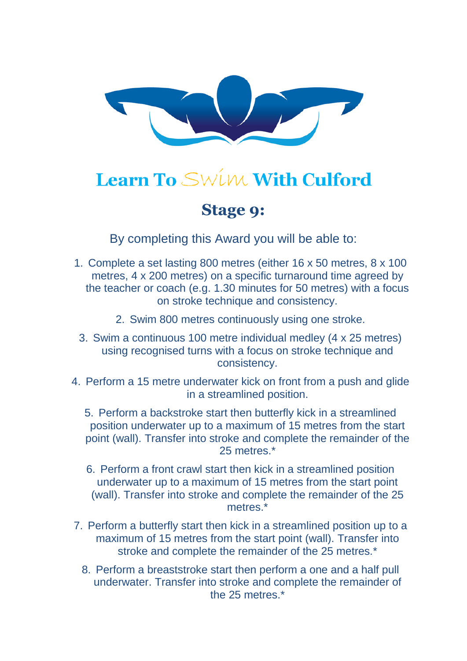

### **Stage 9:**

By completing this Award you will be able to:

- 1. Complete a set lasting 800 metres (either 16 x 50 metres, 8 x 100 metres, 4 x 200 metres) on a specific turnaround time agreed by the teacher or coach (e.g. 1.30 minutes for 50 metres) with a focus on stroke technique and consistency.
	- 2. Swim 800 metres continuously using one stroke.
- 3. Swim a continuous 100 metre individual medley (4 x 25 metres) using recognised turns with a focus on stroke technique and consistency.
- 4. Perform a 15 metre underwater kick on front from a push and glide in a streamlined position.
	- 5. Perform a backstroke start then butterfly kick in a streamlined position underwater up to a maximum of 15 metres from the start point (wall). Transfer into stroke and complete the remainder of the 25 metres<sup>\*</sup>
	- 6. Perform a front crawl start then kick in a streamlined position underwater up to a maximum of 15 metres from the start point (wall). Transfer into stroke and complete the remainder of the 25 metres<sup>\*</sup>
- 7. Perform a butterfly start then kick in a streamlined position up to a maximum of 15 metres from the start point (wall). Transfer into stroke and complete the remainder of the 25 metres.\*
	- 8. Perform a breaststroke start then perform a one and a half pull underwater. Transfer into stroke and complete the remainder of the 25 metres.\*